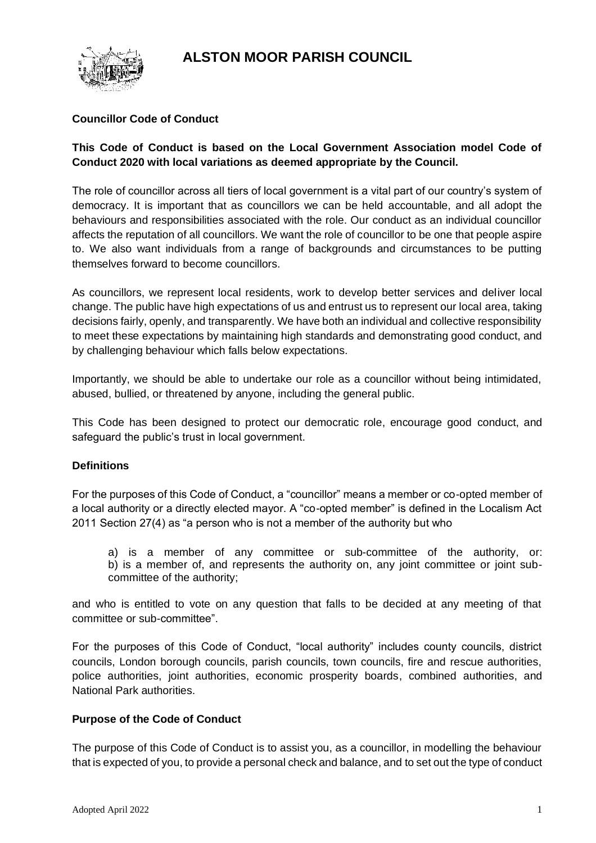# **ALSTON MOOR PARISH COUNCIL**



### **Councillor Code of Conduct**

### **This Code of Conduct is based on the Local Government Association model Code of Conduct 2020 with local variations as deemed appropriate by the Council.**

The role of councillor across all tiers of local government is a vital part of our country's system of democracy. It is important that as councillors we can be held accountable, and all adopt the behaviours and responsibilities associated with the role. Our conduct as an individual councillor affects the reputation of all councillors. We want the role of councillor to be one that people aspire to. We also want individuals from a range of backgrounds and circumstances to be putting themselves forward to become councillors.

As councillors, we represent local residents, work to develop better services and deliver local change. The public have high expectations of us and entrust us to represent our local area, taking decisions fairly, openly, and transparently. We have both an individual and collective responsibility to meet these expectations by maintaining high standards and demonstrating good conduct, and by challenging behaviour which falls below expectations.

Importantly, we should be able to undertake our role as a councillor without being intimidated, abused, bullied, or threatened by anyone, including the general public.

This Code has been designed to protect our democratic role, encourage good conduct, and safeguard the public's trust in local government.

### **Definitions**

For the purposes of this Code of Conduct, a "councillor" means a member or co-opted member of a local authority or a directly elected mayor. A "co-opted member" is defined in the Localism Act 2011 Section 27(4) as "a person who is not a member of the authority but who

a) is a member of any committee or sub-committee of the authority, or: b) is a member of, and represents the authority on, any joint committee or joint subcommittee of the authority;

and who is entitled to vote on any question that falls to be decided at any meeting of that committee or sub-committee".

For the purposes of this Code of Conduct, "local authority" includes county councils, district councils, London borough councils, parish councils, town councils, fire and rescue authorities, police authorities, joint authorities, economic prosperity boards, combined authorities, and National Park authorities.

### **Purpose of the Code of Conduct**

The purpose of this Code of Conduct is to assist you, as a councillor, in modelling the behaviour that is expected of you, to provide a personal check and balance, and to set out the type of conduct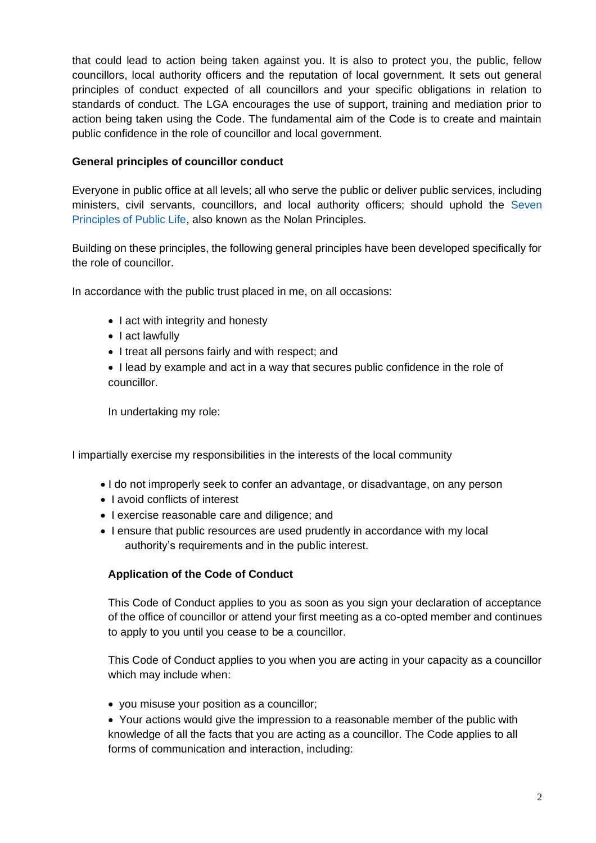that could lead to action being taken against you. It is also to protect you, the public, fellow councillors, local authority officers and the reputation of local government. It sets out general principles of conduct expected of all councillors and your specific obligations in relation to standards of conduct. The LGA encourages the use of support, training and mediation prior to action being taken using the Code. The fundamental aim of the Code is to create and maintain public confidence in the role of councillor and local government.

### **General principles of councillor conduct**

Everyone in public office at all levels; all who serve the public or deliver public services, including ministers, civil servants, councillors, and local authority officers; should uphold the Seven Principles of Public Life, also known as the Nolan Principles.

Building on these principles, the following general principles have been developed specifically for the role of councillor.

In accordance with the public trust placed in me, on all occasions:

- I act with integrity and honesty
- I act lawfully
- I treat all persons fairly and with respect; and
- I lead by example and act in a way that secures public confidence in the role of councillor.

In undertaking my role:

I impartially exercise my responsibilities in the interests of the local community

- I do not improperly seek to confer an advantage, or disadvantage, on any person
- I avoid conflicts of interest
- I exercise reasonable care and diligence; and
- I ensure that public resources are used prudently in accordance with my local authority's requirements and in the public interest.

### **Application of the Code of Conduct**

This Code of Conduct applies to you as soon as you sign your declaration of acceptance of the office of councillor or attend your first meeting as a co-opted member and continues to apply to you until you cease to be a councillor.

This Code of Conduct applies to you when you are acting in your capacity as a councillor which may include when:

- you misuse your position as a councillor;
- Your actions would give the impression to a reasonable member of the public with knowledge of all the facts that you are acting as a councillor. The Code applies to all forms of communication and interaction, including: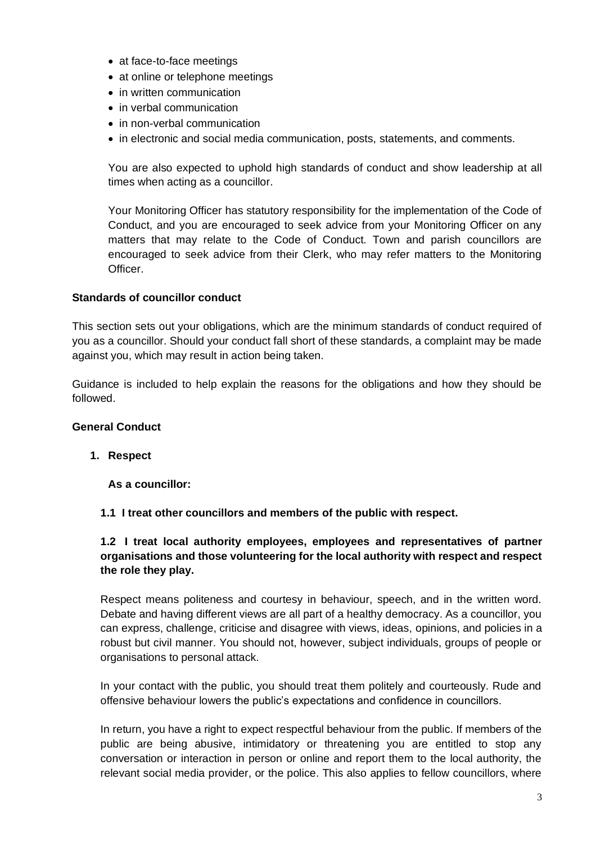- at face-to-face meetings
- at online or telephone meetings
- in written communication
- in verbal communication
- in non-verbal communication
- in electronic and social media communication, posts, statements, and comments.

You are also expected to uphold high standards of conduct and show leadership at all times when acting as a councillor.

Your Monitoring Officer has statutory responsibility for the implementation of the Code of Conduct, and you are encouraged to seek advice from your Monitoring Officer on any matters that may relate to the Code of Conduct. Town and parish councillors are encouraged to seek advice from their Clerk, who may refer matters to the Monitoring Officer.

#### **Standards of councillor conduct**

This section sets out your obligations, which are the minimum standards of conduct required of you as a councillor. Should your conduct fall short of these standards, a complaint may be made against you, which may result in action being taken.

Guidance is included to help explain the reasons for the obligations and how they should be followed.

#### **General Conduct**

#### **1. Respect**

**As a councillor:** 

**1.1 I treat other councillors and members of the public with respect.** 

### **1.2 I treat local authority employees, employees and representatives of partner organisations and those volunteering for the local authority with respect and respect the role they play.**

Respect means politeness and courtesy in behaviour, speech, and in the written word. Debate and having different views are all part of a healthy democracy. As a councillor, you can express, challenge, criticise and disagree with views, ideas, opinions, and policies in a robust but civil manner. You should not, however, subject individuals, groups of people or organisations to personal attack.

In your contact with the public, you should treat them politely and courteously. Rude and offensive behaviour lowers the public's expectations and confidence in councillors.

In return, you have a right to expect respectful behaviour from the public. If members of the public are being abusive, intimidatory or threatening you are entitled to stop any conversation or interaction in person or online and report them to the local authority, the relevant social media provider, or the police. This also applies to fellow councillors, where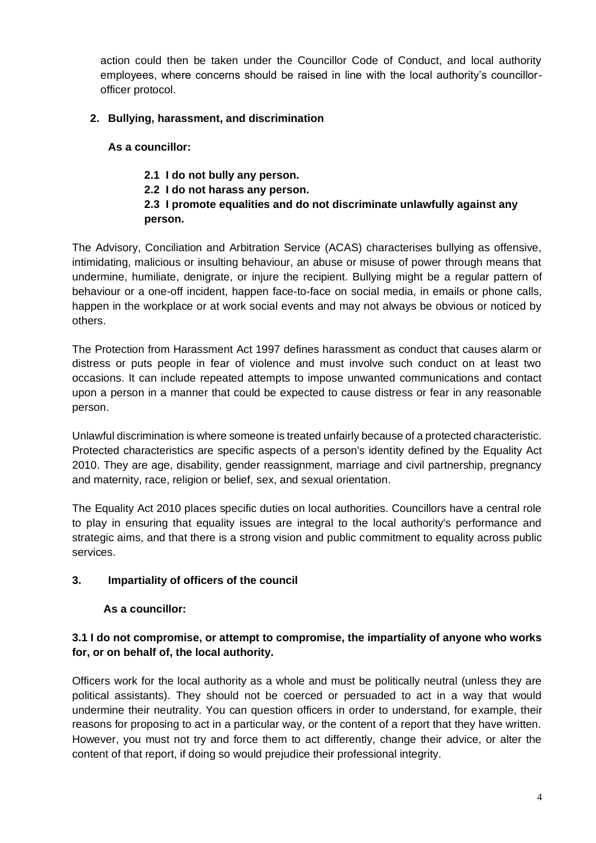action could then be taken under the Councillor Code of Conduct, and local authority employees, where concerns should be raised in line with the local authority's councillorofficer protocol.

## **2. Bullying, harassment, and discrimination**

### **As a councillor:**

# **2.1 I do not bully any person. 2.2 I do not harass any person. 2.3 I promote equalities and do not discriminate unlawfully against any person.**

The Advisory, Conciliation and Arbitration Service (ACAS) characterises bullying as offensive, intimidating, malicious or insulting behaviour, an abuse or misuse of power through means that undermine, humiliate, denigrate, or injure the recipient. Bullying might be a regular pattern of behaviour or a one-off incident, happen face-to-face on social media, in emails or phone calls, happen in the workplace or at work social events and may not always be obvious or noticed by others.

The Protection from Harassment Act 1997 defines harassment as conduct that causes alarm or distress or puts people in fear of violence and must involve such conduct on at least two occasions. It can include repeated attempts to impose unwanted communications and contact upon a person in a manner that could be expected to cause distress or fear in any reasonable person.

Unlawful discrimination is where someone is treated unfairly because of a protected characteristic. Protected characteristics are specific aspects of a person's identity defined by the Equality Act 2010. They are age, disability, gender reassignment, marriage and civil partnership, pregnancy and maternity, race, religion or belief, sex, and sexual orientation.

The Equality Act 2010 places specific duties on local authorities. Councillors have a central role to play in ensuring that equality issues are integral to the local authority's performance and strategic aims, and that there is a strong vision and public commitment to equality across public services.

# **3. Impartiality of officers of the council**

# **As a councillor:**

## **3.1 I do not compromise, or attempt to compromise, the impartiality of anyone who works for, or on behalf of, the local authority.**

Officers work for the local authority as a whole and must be politically neutral (unless they are political assistants). They should not be coerced or persuaded to act in a way that would undermine their neutrality. You can question officers in order to understand, for example, their reasons for proposing to act in a particular way, or the content of a report that they have written. However, you must not try and force them to act differently, change their advice, or alter the content of that report, if doing so would prejudice their professional integrity.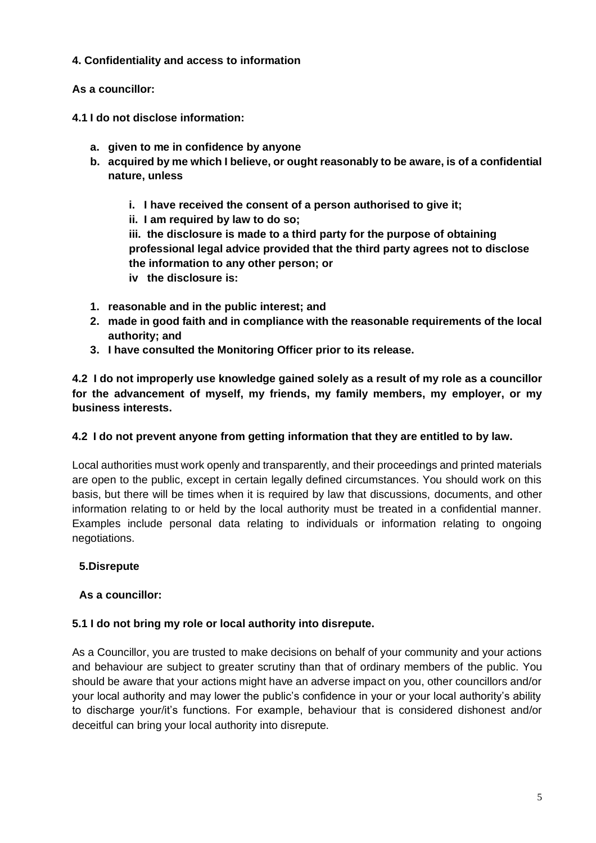### **4. Confidentiality and access to information**

## **As a councillor:**

- **4.1 I do not disclose information:** 
	- **a. given to me in confidence by anyone**
	- **b. acquired by me which I believe, or ought reasonably to be aware, is of a confidential nature, unless** 
		- **i. I have received the consent of a person authorised to give it;**
		- **ii. I am required by law to do so;**

**iii. the disclosure is made to a third party for the purpose of obtaining professional legal advice provided that the third party agrees not to disclose the information to any other person; or** 

- **iv the disclosure is:**
- **1. reasonable and in the public interest; and**
- **2. made in good faith and in compliance with the reasonable requirements of the local authority; and**
- **3. I have consulted the Monitoring Officer prior to its release.**

**4.2 I do not improperly use knowledge gained solely as a result of my role as a councillor for the advancement of myself, my friends, my family members, my employer, or my business interests.** 

### **4.2 I do not prevent anyone from getting information that they are entitled to by law.**

Local authorities must work openly and transparently, and their proceedings and printed materials are open to the public, except in certain legally defined circumstances. You should work on this basis, but there will be times when it is required by law that discussions, documents, and other information relating to or held by the local authority must be treated in a confidential manner. Examples include personal data relating to individuals or information relating to ongoing negotiations.

# **5.Disrepute**

# **As a councillor:**

# **5.1 I do not bring my role or local authority into disrepute.**

As a Councillor, you are trusted to make decisions on behalf of your community and your actions and behaviour are subject to greater scrutiny than that of ordinary members of the public. You should be aware that your actions might have an adverse impact on you, other councillors and/or your local authority and may lower the public's confidence in your or your local authority's ability to discharge your/it's functions. For example, behaviour that is considered dishonest and/or deceitful can bring your local authority into disrepute.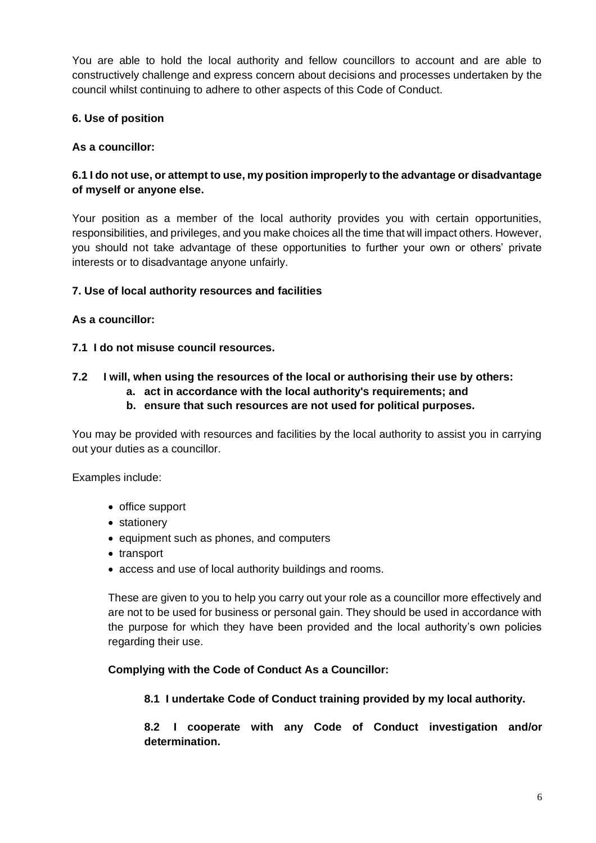You are able to hold the local authority and fellow councillors to account and are able to constructively challenge and express concern about decisions and processes undertaken by the council whilst continuing to adhere to other aspects of this Code of Conduct.

### **6. Use of position**

### **As a councillor:**

### **6.1 I do not use, or attempt to use, my position improperly to the advantage or disadvantage of myself or anyone else.**

Your position as a member of the local authority provides you with certain opportunities, responsibilities, and privileges, and you make choices all the time that will impact others. However, you should not take advantage of these opportunities to further your own or others' private interests or to disadvantage anyone unfairly.

#### **7. Use of local authority resources and facilities**

#### **As a councillor:**

#### **7.1 I do not misuse council resources.**

#### **7.2 I will, when using the resources of the local or authorising their use by others:**

- **a. act in accordance with the local authority's requirements; and**
- **b. ensure that such resources are not used for political purposes.**

You may be provided with resources and facilities by the local authority to assist you in carrying out your duties as a councillor.

Examples include:

- office support
- stationery
- equipment such as phones, and computers
- transport
- access and use of local authority buildings and rooms.

These are given to you to help you carry out your role as a councillor more effectively and are not to be used for business or personal gain. They should be used in accordance with the purpose for which they have been provided and the local authority's own policies regarding their use.

#### **Complying with the Code of Conduct As a Councillor:**

#### **8.1 I undertake Code of Conduct training provided by my local authority.**

**8.2 I cooperate with any Code of Conduct investigation and/or determination.**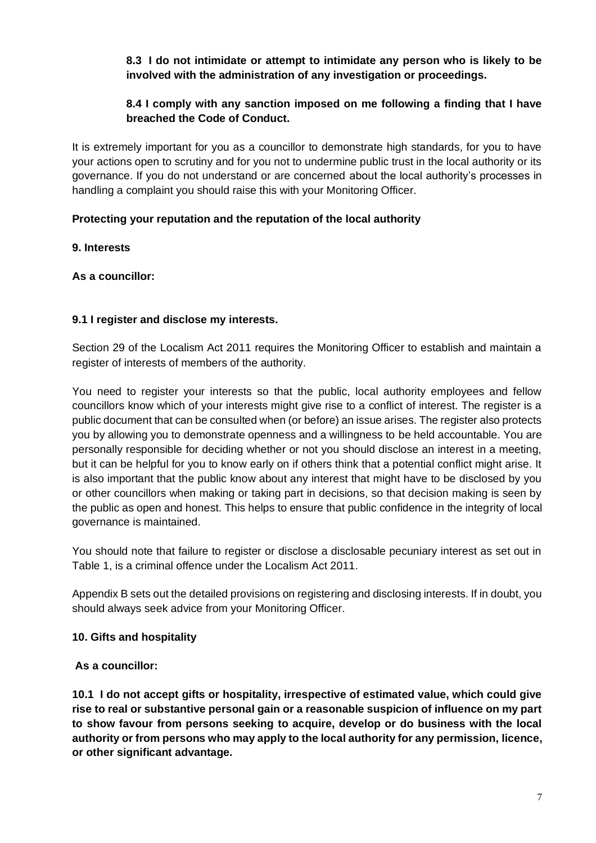### **8.3 I do not intimidate or attempt to intimidate any person who is likely to be involved with the administration of any investigation or proceedings.**

# **8.4 I comply with any sanction imposed on me following a finding that I have breached the Code of Conduct.**

It is extremely important for you as a councillor to demonstrate high standards, for you to have your actions open to scrutiny and for you not to undermine public trust in the local authority or its governance. If you do not understand or are concerned about the local authority's processes in handling a complaint you should raise this with your Monitoring Officer.

## **Protecting your reputation and the reputation of the local authority**

### **9. Interests**

### **As a councillor:**

## **9.1 I register and disclose my interests.**

Section 29 of the Localism Act 2011 requires the Monitoring Officer to establish and maintain a register of interests of members of the authority.

You need to register your interests so that the public, local authority employees and fellow councillors know which of your interests might give rise to a conflict of interest. The register is a public document that can be consulted when (or before) an issue arises. The register also protects you by allowing you to demonstrate openness and a willingness to be held accountable. You are personally responsible for deciding whether or not you should disclose an interest in a meeting, but it can be helpful for you to know early on if others think that a potential conflict might arise. It is also important that the public know about any interest that might have to be disclosed by you or other councillors when making or taking part in decisions, so that decision making is seen by the public as open and honest. This helps to ensure that public confidence in the integrity of local governance is maintained.

You should note that failure to register or disclose a disclosable pecuniary interest as set out in Table 1, is a criminal offence under the Localism Act 2011.

Appendix B sets out the detailed provisions on registering and disclosing interests. If in doubt, you should always seek advice from your Monitoring Officer.

### **10. Gifts and hospitality**

### **As a councillor:**

**10.1 I do not accept gifts or hospitality, irrespective of estimated value, which could give rise to real or substantive personal gain or a reasonable suspicion of influence on my part to show favour from persons seeking to acquire, develop or do business with the local authority or from persons who may apply to the local authority for any permission, licence, or other significant advantage.**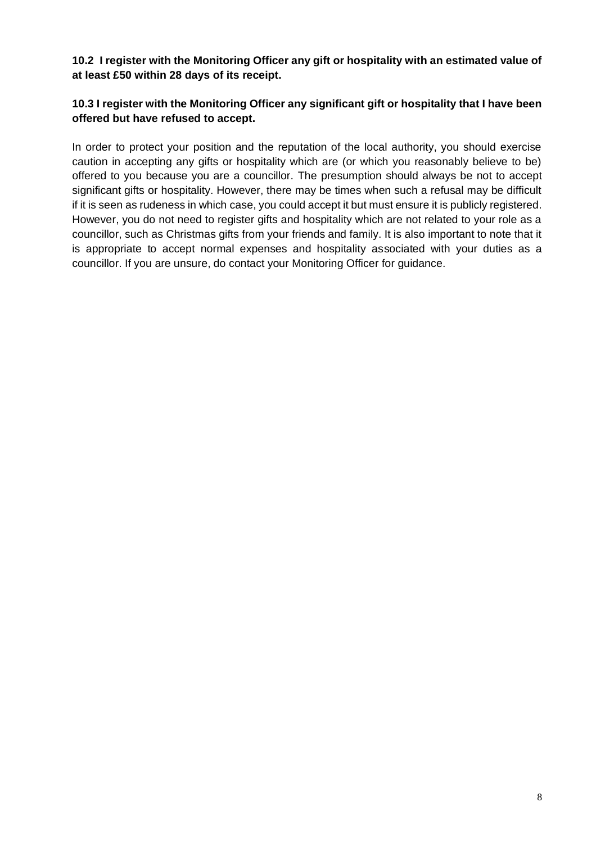### **10.2 I register with the Monitoring Officer any gift or hospitality with an estimated value of at least £50 within 28 days of its receipt.**

### **10.3 I register with the Monitoring Officer any significant gift or hospitality that I have been offered but have refused to accept.**

In order to protect your position and the reputation of the local authority, you should exercise caution in accepting any gifts or hospitality which are (or which you reasonably believe to be) offered to you because you are a councillor. The presumption should always be not to accept significant gifts or hospitality. However, there may be times when such a refusal may be difficult if it is seen as rudeness in which case, you could accept it but must ensure it is publicly registered. However, you do not need to register gifts and hospitality which are not related to your role as a councillor, such as Christmas gifts from your friends and family. It is also important to note that it is appropriate to accept normal expenses and hospitality associated with your duties as a councillor. If you are unsure, do contact your Monitoring Officer for guidance.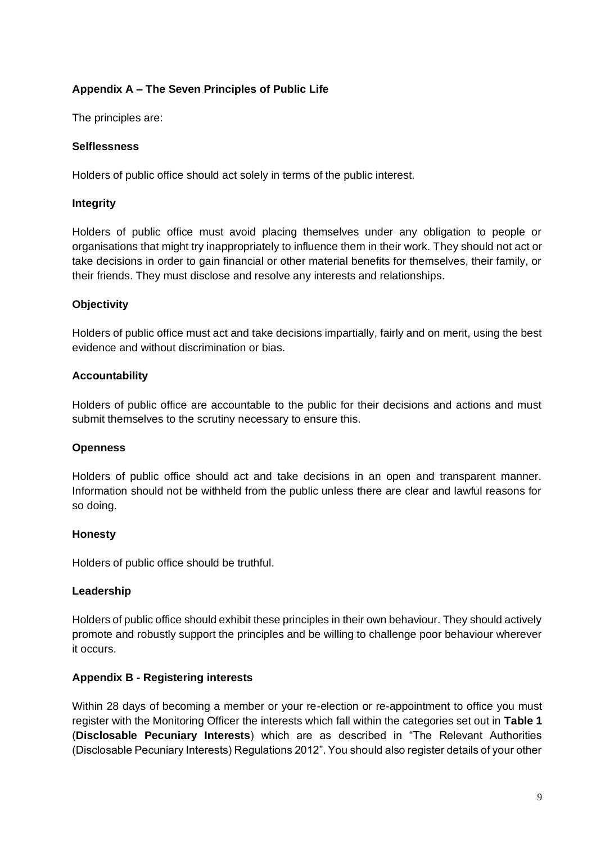## **Appendix A – The Seven Principles of Public Life**

The principles are:

#### **Selflessness**

Holders of public office should act solely in terms of the public interest.

#### **Integrity**

Holders of public office must avoid placing themselves under any obligation to people or organisations that might try inappropriately to influence them in their work. They should not act or take decisions in order to gain financial or other material benefits for themselves, their family, or their friends. They must disclose and resolve any interests and relationships.

#### **Objectivity**

Holders of public office must act and take decisions impartially, fairly and on merit, using the best evidence and without discrimination or bias.

#### **Accountability**

Holders of public office are accountable to the public for their decisions and actions and must submit themselves to the scrutiny necessary to ensure this.

### **Openness**

Holders of public office should act and take decisions in an open and transparent manner. Information should not be withheld from the public unless there are clear and lawful reasons for so doing.

#### **Honesty**

Holders of public office should be truthful.

#### **Leadership**

Holders of public office should exhibit these principles in their own behaviour. They should actively promote and robustly support the principles and be willing to challenge poor behaviour wherever it occurs.

#### **Appendix B - Registering interests**

Within 28 days of becoming a member or your re-election or re-appointment to office you must register with the Monitoring Officer the interests which fall within the categories set out in **Table 1**  (**Disclosable Pecuniary Interests**) which are as described in "The Relevant Authorities (Disclosable Pecuniary Interests) Regulations 2012". You should also register details of your other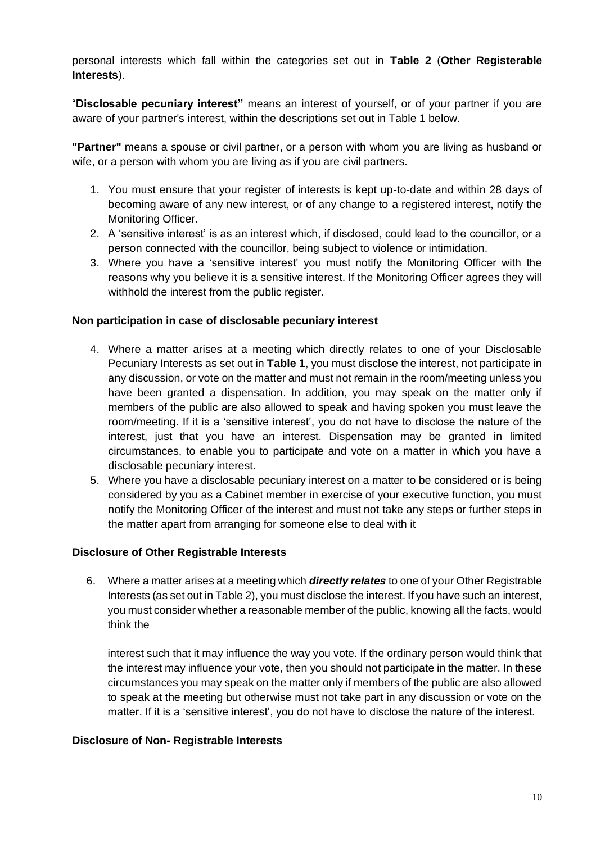personal interests which fall within the categories set out in **Table 2** (**Other Registerable Interests**).

"**Disclosable pecuniary interest"** means an interest of yourself, or of your partner if you are aware of your partner's interest, within the descriptions set out in Table 1 below.

**"Partner"** means a spouse or civil partner, or a person with whom you are living as husband or wife, or a person with whom you are living as if you are civil partners.

- 1. You must ensure that your register of interests is kept up-to-date and within 28 days of becoming aware of any new interest, or of any change to a registered interest, notify the Monitoring Officer.
- 2. A 'sensitive interest' is as an interest which, if disclosed, could lead to the councillor, or a person connected with the councillor, being subject to violence or intimidation.
- 3. Where you have a 'sensitive interest' you must notify the Monitoring Officer with the reasons why you believe it is a sensitive interest. If the Monitoring Officer agrees they will withhold the interest from the public register.

#### **Non participation in case of disclosable pecuniary interest**

- 4. Where a matter arises at a meeting which directly relates to one of your Disclosable Pecuniary Interests as set out in **Table 1**, you must disclose the interest, not participate in any discussion, or vote on the matter and must not remain in the room/meeting unless you have been granted a dispensation. In addition, you may speak on the matter only if members of the public are also allowed to speak and having spoken you must leave the room/meeting. If it is a 'sensitive interest', you do not have to disclose the nature of the interest, just that you have an interest. Dispensation may be granted in limited circumstances, to enable you to participate and vote on a matter in which you have a disclosable pecuniary interest.
- 5. Where you have a disclosable pecuniary interest on a matter to be considered or is being considered by you as a Cabinet member in exercise of your executive function, you must notify the Monitoring Officer of the interest and must not take any steps or further steps in the matter apart from arranging for someone else to deal with it

#### **Disclosure of Other Registrable Interests**

6. Where a matter arises at a meeting which *directly relates* to one of your Other Registrable Interests (as set out in Table 2), you must disclose the interest. If you have such an interest, you must consider whether a reasonable member of the public, knowing all the facts, would think the

interest such that it may influence the way you vote. If the ordinary person would think that the interest may influence your vote, then you should not participate in the matter. In these circumstances you may speak on the matter only if members of the public are also allowed to speak at the meeting but otherwise must not take part in any discussion or vote on the matter. If it is a 'sensitive interest', you do not have to disclose the nature of the interest.

#### **Disclosure of Non- Registrable Interests**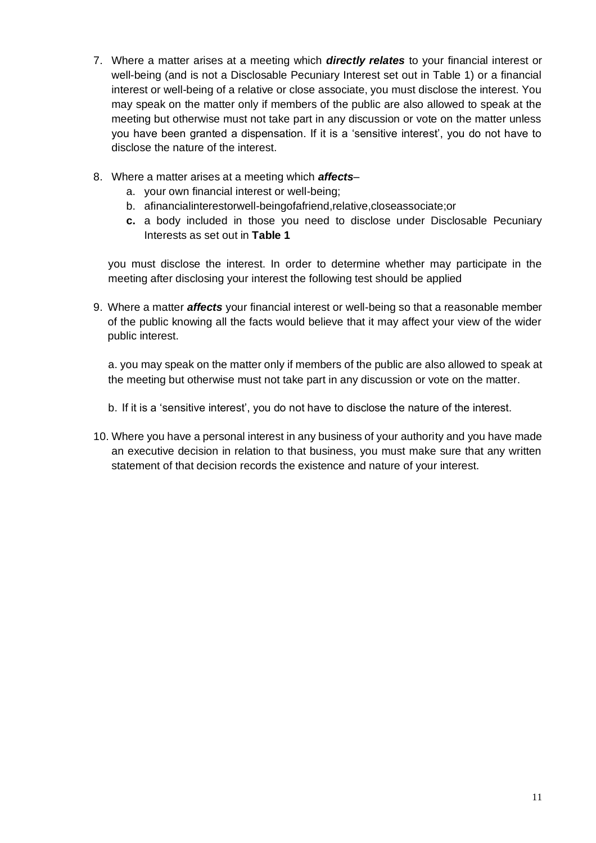- 7. Where a matter arises at a meeting which *directly relates* to your financial interest or well-being (and is not a Disclosable Pecuniary Interest set out in Table 1) or a financial interest or well-being of a relative or close associate, you must disclose the interest. You may speak on the matter only if members of the public are also allowed to speak at the meeting but otherwise must not take part in any discussion or vote on the matter unless you have been granted a dispensation. If it is a 'sensitive interest', you do not have to disclose the nature of the interest.
- 8. Where a matter arises at a meeting which *affects*
	- a. your own financial interest or well-being;
	- b. afinancialinterestorwell-beingofafriend,relative,closeassociate;or
	- **c.** a body included in those you need to disclose under Disclosable Pecuniary Interests as set out in **Table 1**

you must disclose the interest. In order to determine whether may participate in the meeting after disclosing your interest the following test should be applied

9. Where a matter *affects* your financial interest or well-being so that a reasonable member of the public knowing all the facts would believe that it may affect your view of the wider public interest.

a. you may speak on the matter only if members of the public are also allowed to speak at the meeting but otherwise must not take part in any discussion or vote on the matter.

- b. If it is a 'sensitive interest', you do not have to disclose the nature of the interest.
- 10. Where you have a personal interest in any business of your authority and you have made an executive decision in relation to that business, you must make sure that any written statement of that decision records the existence and nature of your interest.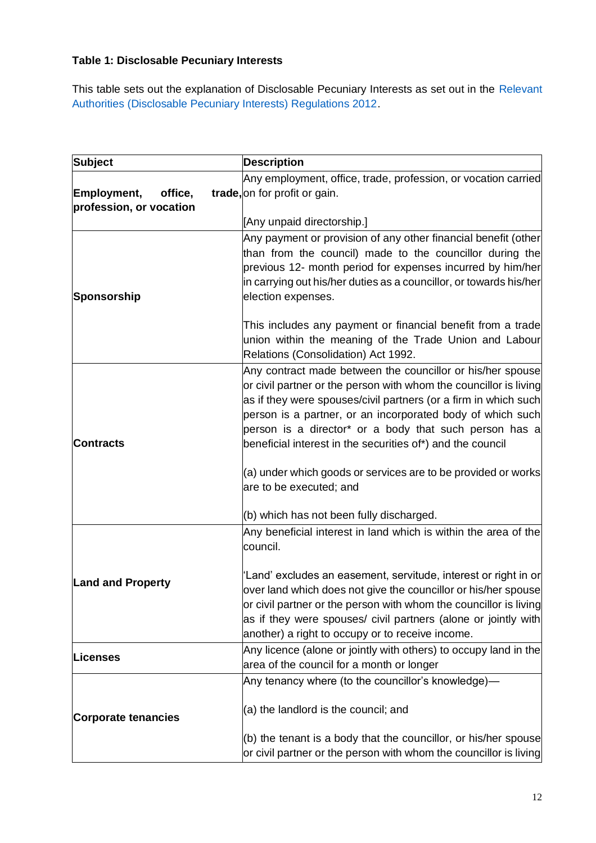# **Table 1: Disclosable Pecuniary Interests**

This table sets out the explanation of Disclosable Pecuniary Interests as set out in the Relevant Authorities (Disclosable Pecuniary Interests) Regulations 2012.

| <b>Subject</b>                                    | <b>Description</b>                                                                                                                                                                                                                                                                                                                                                                                                                                                    |
|---------------------------------------------------|-----------------------------------------------------------------------------------------------------------------------------------------------------------------------------------------------------------------------------------------------------------------------------------------------------------------------------------------------------------------------------------------------------------------------------------------------------------------------|
| Employment,<br>office,<br>profession, or vocation | Any employment, office, trade, profession, or vocation carried<br>trade, on for profit or gain.                                                                                                                                                                                                                                                                                                                                                                       |
|                                                   | [Any unpaid directorship.]                                                                                                                                                                                                                                                                                                                                                                                                                                            |
| Sponsorship                                       | Any payment or provision of any other financial benefit (other<br>than from the council) made to the councillor during the<br>previous 12- month period for expenses incurred by him/her<br>in carrying out his/her duties as a councillor, or towards his/her<br>election expenses.                                                                                                                                                                                  |
|                                                   | This includes any payment or financial benefit from a trade<br>union within the meaning of the Trade Union and Labour<br>Relations (Consolidation) Act 1992.                                                                                                                                                                                                                                                                                                          |
| <b>Contracts</b>                                  | Any contract made between the councillor or his/her spouse<br>or civil partner or the person with whom the councillor is living<br>as if they were spouses/civil partners (or a firm in which such<br>person is a partner, or an incorporated body of which such<br>person is a director <sup>*</sup> or a body that such person has a<br>beneficial interest in the securities of*) and the council<br>(a) under which goods or services are to be provided or works |
|                                                   | are to be executed; and<br>(b) which has not been fully discharged.                                                                                                                                                                                                                                                                                                                                                                                                   |
| <b>Land and Property</b>                          | Any beneficial interest in land which is within the area of the<br>council.                                                                                                                                                                                                                                                                                                                                                                                           |
|                                                   | 'Land' excludes an easement, servitude, interest or right in or<br>over land which does not give the councillor or his/her spouse<br>or civil partner or the person with whom the councillor is living<br>as if they were spouses/ civil partners (alone or jointly with<br>another) a right to occupy or to receive income.                                                                                                                                          |
| Licenses                                          | Any licence (alone or jointly with others) to occupy land in the<br>area of the council for a month or longer                                                                                                                                                                                                                                                                                                                                                         |
|                                                   | Any tenancy where (to the councillor's knowledge)—                                                                                                                                                                                                                                                                                                                                                                                                                    |
| <b>Corporate tenancies</b>                        | (a) the landlord is the council; and                                                                                                                                                                                                                                                                                                                                                                                                                                  |
|                                                   | $(6)$ the tenant is a body that the councillor, or his/her spouse<br>or civil partner or the person with whom the councillor is living                                                                                                                                                                                                                                                                                                                                |